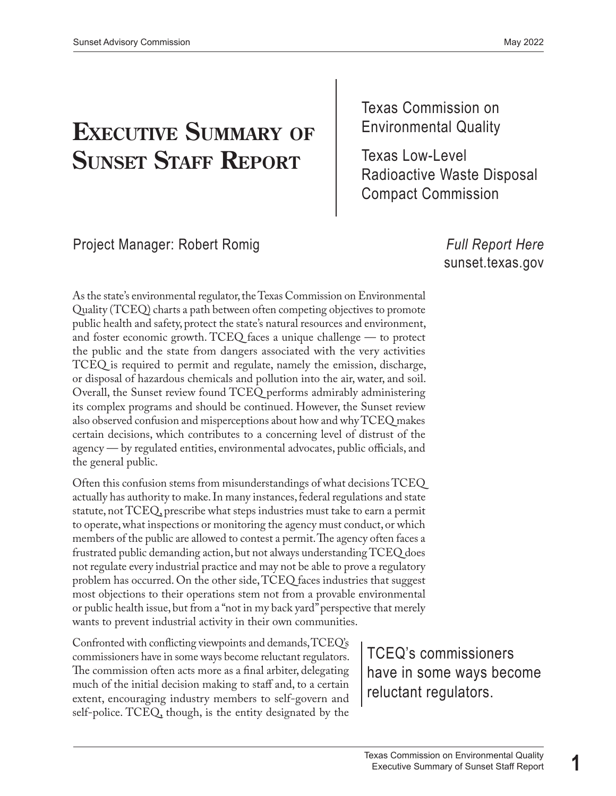# **EXECUTIVE SUMMARY OF** FINITON CONDUCTER

Texas Commission on

**SUNSET STAFF REPORT** | Texas Low-Level<br>Radioactive Waste Disposal Compact Commission

Project Manager: Robert Romig *[Full Report Here](https://www.sunset.texas.gov/public/uploads/2022-05/Texas%20Commission%20on%20Environmental%20Quality%20Staff%20Report_5-25-22.pdf)* 

[sunset.texas.gov](https://www.sunset.texas.gov/)

A s the state's environmental regulator, the Texas Commission on Environmental Q uality (TCEQ) charts a path between often competing objectives to promote p ublic health and safety, protect the state's natural resources and environment, a nd foster economic growth. TCEQ faces a unique challenge — to protect t he public and the state from dangers associated with the very activities T CEQ is required to permit and regulate, namely the emission, discharge, o r disposal of hazardous chemicals and pollution into the air, water, and soil. O verall, the Sunset review found TCEQ performs admirably administering i ts complex programs and should be continued. However, the Sunset review a lso observed confusion and misperceptions about how and why TCEQ makes c ertain decisions, which contributes to a concerning level of distrust of the a gency — by regulated entities, environmental advocates, public officials, and t he general public.

O ften this confusion stems from misunderstandings of what decisions TCEQ a ctually has authority to make. In many instances, federal regulations and state s tatute, not TCEQ, prescribe what steps industries must take to earn a permit t o operate, what inspections or monitoring the agency must conduct, or which m embers of the public are allowed to contest a permit. The agency often faces a f rustrated public demanding action, but not always understanding TCEQ does n ot regulate every industrial practice and may not be able to prove a regulatory p roblem has occurred. On the other side, TCEQ faces industries that suggest m ost objections to their operations stem not from a provable environmental o r public health issue, but from a "not in my back yard" perspective that merely w ants to prevent industrial activity in their own communities.

C onfronted with conflicting viewpoints and demands, TCEQ's c ommissioners have in some ways become reluctant regulators. TCEQ's commissioners The commission often acts more as a final arbiter, delegating m extent, encouraging industry members to self-govern and s elf-police. TCEQ, though, is the entity designated by the he commission often acts more as a final arbiter, delegating have in some ways become nuch of the initial decision making to staff and, to a certain regulators. Xtent, encouraging industry members to self-govern and **reduc**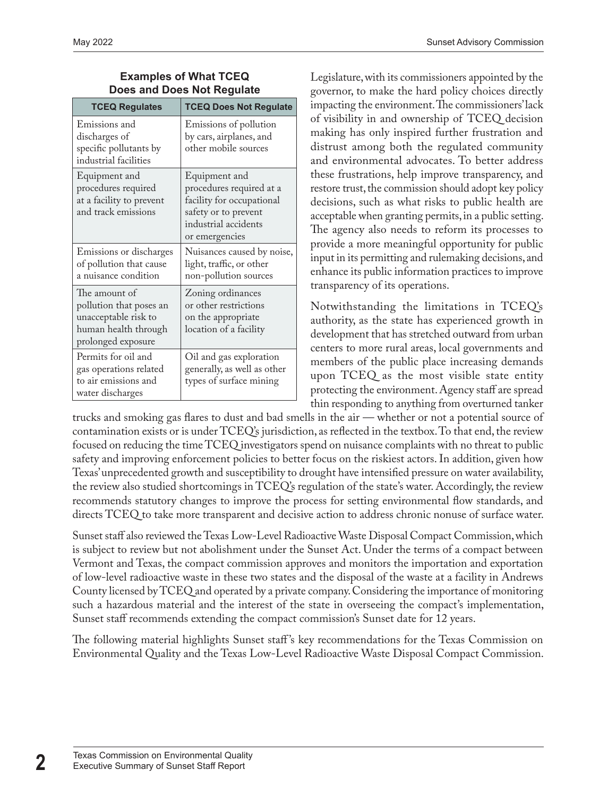#### **Examples of What TCEQ Does and Does Not Regulate**

| <b>TCEQ Regulates</b>                                                                                          | <b>TCEQ Does Not Regulate</b>                                                                                                            |
|----------------------------------------------------------------------------------------------------------------|------------------------------------------------------------------------------------------------------------------------------------------|
| Emissions and<br>discharges of<br>specific pollutants by<br>industrial facilities                              | Emissions of pollution<br>by cars, airplanes, and<br>other mobile sources                                                                |
| Equipment and<br>procedures required<br>at a facility to prevent<br>and track emissions                        | Equipment and<br>procedures required at a<br>facility for occupational<br>safety or to prevent<br>industrial accidents<br>or emergencies |
| Emissions or discharges<br>of pollution that cause<br>a nuisance condition                                     | Nuisances caused by noise,<br>light, traffic, or other<br>non-pollution sources                                                          |
| The amount of<br>pollution that poses an<br>unacceptable risk to<br>human health through<br>prolonged exposure | Zoning ordinances<br>or other restrictions<br>on the appropriate<br>location of a facility                                               |
| Permits for oil and<br>gas operations related<br>to air emissions and<br>water discharges                      | Oil and gas exploration<br>generally, as well as other<br>types of surface mining                                                        |

Legislature, with its commissioners appointed by the governor, to make the hard policy choices directly impacting the environment. The commissioners' lack of visibility in and ownership of TCEQ decision making has only inspired further frustration and distrust among both the regulated community and environmental advocates. To better address these frustrations, help improve transparency, and restore trust, the commission should adopt key policy decisions, such as what risks to public health are acceptable when granting permits, in a public setting. The agency also needs to reform its processes to provide a more meaningful opportunity for public input in its permitting and rulemaking decisions, and enhance its public information practices to improve transparency of its operations.

Notwithstanding the limitations in TCEQ's authority, as the state has experienced growth in development that has stretched outward from urban centers to more rural areas, local governments and members of the public place increasing demands upon TCEQ as the most visible state entity protecting the environment. Agency staff are spread thin responding to anything from overturned tanker

trucks and smoking gas flares to dust and bad smells in the air — whether or not a potential source of contamination exists or is under TCEQ's jurisdiction, as reflected in the textbox. To that end, the review focused on reducing the time TCEQ investigators spend on nuisance complaints with no threat to public safety and improving enforcement policies to better focus on the riskiest actors. In addition, given how Texas' unprecedented growth and susceptibility to drought have intensified pressure on water availability, the review also studied shortcomings in TCEQ's regulation of the state's water. Accordingly, the review recommends statutory changes to improve the process for setting environmental flow standards, and directs TCEQ to take more transparent and decisive action to address chronic nonuse of surface water.

Sunset staff also reviewed the Texas Low-Level Radioactive Waste Disposal Compact Commission, which is subject to review but not abolishment under the Sunset Act. Under the terms of a compact between Vermont and Texas, the compact commission approves and monitors the importation and exportation of low-level radioactive waste in these two states and the disposal of the waste at a facility in Andrews County licensed by TCEQ and operated by a private company. Considering the importance of monitoring such a hazardous material and the interest of the state in overseeing the compact's implementation, Sunset staff recommends extending the compact commission's Sunset date for 12 years.

The following material highlights Sunset staff 's key recommendations for the Texas Commission on Environmental Quality and the Texas Low-Level Radioactive Waste Disposal Compact Commission.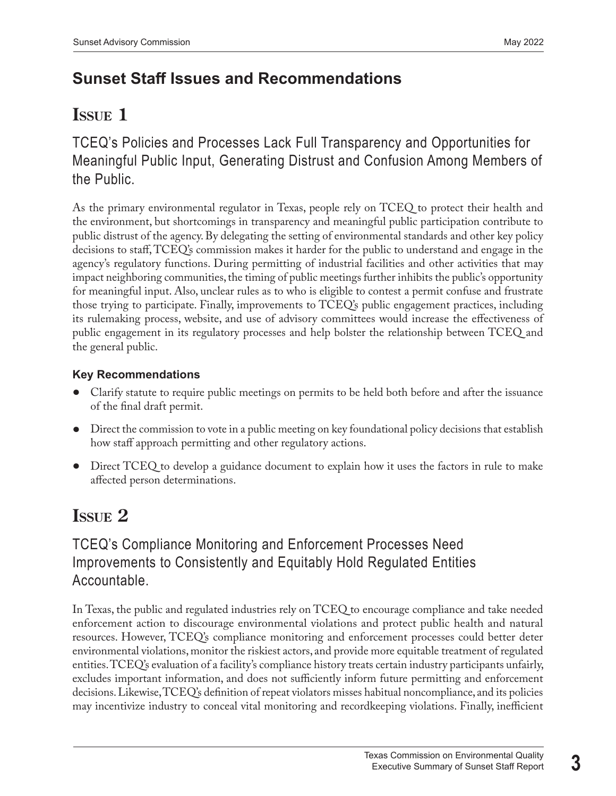# **Sunset Staff Issues and Recommendations**

# **iSSUE 1**

TCEQ's Policies and Processes Lack Full Transparency and Opportunities for Meaningful Public Input, Generating Distrust and Confusion Among Members of the Public.

As the primary environmental regulator in Texas, people rely on TCEQ to protect their health and the environment, but shortcomings in transparency and meaningful public participation contribute to public distrust of the agency. By delegating the setting of environmental standards and other key policy decisions to staff, TCEQ's commission makes it harder for the public to understand and engage in the agency's regulatory functions. During permitting of industrial facilities and other activities that may impact neighboring communities, the timing of public meetings further inhibits the public's opportunity for meaningful input. Also, unclear rules as to who is eligible to contest a permit confuse and frustrate those trying to participate. Finally, improvements to TCEQ's public engagement practices, including its rulemaking process, website, and use of advisory committees would increase the effectiveness of public engagement in its regulatory processes and help bolster the relationship between TCEQ and the general public.

#### **Key Recommendations**

- Clarify statute to require public meetings on permits to be held both before and after the issuance of the final draft permit.
- Direct the commission to vote in a public meeting on key foundational policy decisions that establish how staff approach permitting and other regulatory actions.
- Direct TCEQ to develop a guidance document to explain how it uses the factors in rule to make affected person determinations.

# **ISSUE 2**

## TCEQ's Compliance Monitoring and Enforcement Processes Need Improvements to Consistently and Equitably Hold Regulated Entities Accountable.

In Texas, the public and regulated industries rely on TCEQ to encourage compliance and take needed enforcement action to discourage environmental violations and protect public health and natural resources. However, TCEQ's compliance monitoring and enforcement processes could better deter environmental violations, monitor the riskiest actors, and provide more equitable treatment of regulated entities. TCEQ's evaluation of a facility's compliance history treats certain industry participants unfairly, excludes important information, and does not sufficiently inform future permitting and enforcement decisions. Likewise, TCEQ's definition of repeat violators misses habitual noncompliance, and its policies may incentivize industry to conceal vital monitoring and recordkeeping violations. Finally, inefficient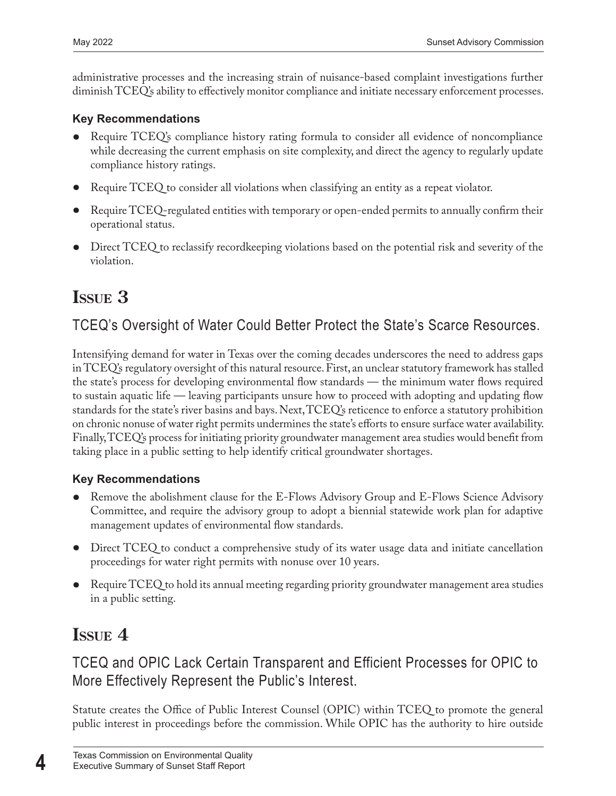administrative processes and the increasing strain of nuisance-based complaint investigations further diminish TCEQ's ability to effectively monitor compliance and initiate necessary enforcement processes.

#### **Key Recommendations**

- Require TCEQ's compliance history rating formula to consider all evidence of noncompliance while decreasing the current emphasis on site complexity, and direct the agency to regularly update compliance history ratings.
- Require TCEQ to consider all violations when classifying an entity as a repeat violator.
- Require TCEQ-regulated entities with temporary or open-ended permits to annually confirm their operational status.
- Direct TCEQ to reclassify recordkeeping violations based on the potential risk and severity of the violation.

# **iSSuE 3**

## TCEQ's Oversight of Water Could Better Protect the State's Scarce Resources.

Intensifying demand for water in Texas over the coming decades underscores the need to address gaps in TCEQ's regulatory oversight of this natural resource. First, an unclear statutory framework has stalled the state's process for developing environmental flow standards — the minimum water flows required to sustain aquatic life — leaving participants unsure how to proceed with adopting and updating flow standards for the state's river basins and bays. Next, TCEQ's reticence to enforce a statutory prohibition on chronic nonuse of water right permits undermines the state's efforts to ensure surface water availability. Finally, TCEQ's process for initiating priority groundwater management area studies would benefit from taking place in a public setting to help identify critical groundwater shortages.

#### **Key Recommendations**

- Remove the abolishment clause for the E-Flows Advisory Group and E-Flows Science Advisory Committee, and require the advisory group to adopt a biennial statewide work plan for adaptive management updates of environmental flow standards.
- Direct TCEQ to conduct a comprehensive study of its water usage data and initiate cancellation proceedings for water right permits with nonuse over 10 years.
- Require TCEQ to hold its annual meeting regarding priority groundwater management area studies in a public setting.

## **ISSUE 4**

## TCEQ and OPIC Lack Certain Transparent and Efficient Processes for OPIC to More Effectively Represent the Public's Interest.

Statute creates the Office of Public Interest Counsel (OPIC) within TCEQ to promote the general public interest in proceedings before the commission. While OPIC has the authority to hire outside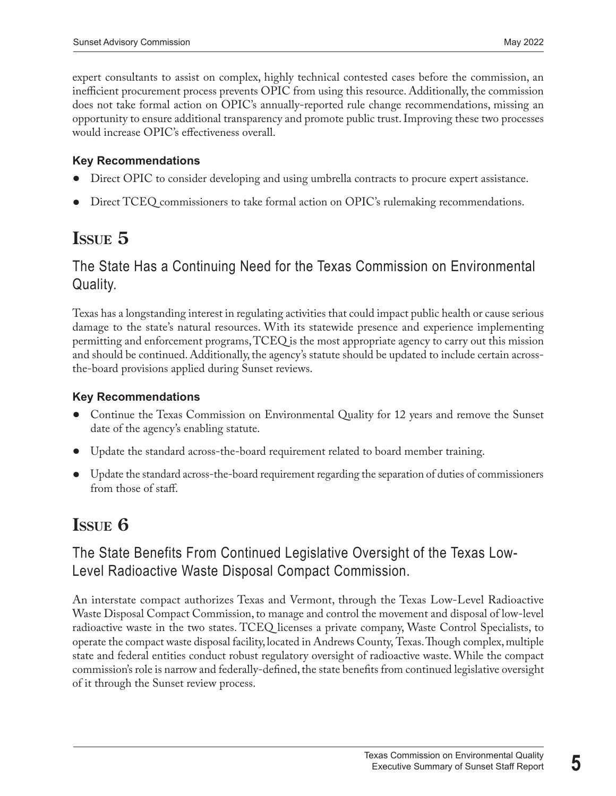expert consultants to assist on complex, highly technical contested cases before the commission, an inefficient procurement process prevents OPIC from using this resource. Additionally, the commission does not take formal action on OPIC's annually-reported rule change recommendations, missing an opportunity to ensure additional transparency and promote public trust. Improving these two processes would increase OPIC's effectiveness overall.

#### **Key Recommendations**

- Direct OPIC to consider developing and using umbrella contracts to procure expert assistance.
- Direct TCEQ commissioners to take formal action on OPIC's rulemaking recommendations.

# **issue 5**

### The State Has a Continuing Need for the Texas Commission on Environmental Quality.

Texas has a longstanding interest in regulating activities that could impact public health or cause serious damage to the state's natural resources. With its statewide presence and experience implementing permitting and enforcement programs, TCEQ is the most appropriate agency to carry out this mission and should be continued. Additionally, the agency's statute should be updated to include certain acrossthe-board provisions applied during Sunset reviews.

#### **Key Recommendations**

- Continue the Texas Commission on Environmental Quality for 12 years and remove the Sunset date of the agency's enabling statute.
- Update the standard across-the-board requirement related to board member training.
- Update the standard across-the-board requirement regarding the separation of duties of commissioners from those of staff.

## **iSSUE 6**

### The State Benefits From Continued Legislative Oversight of the Texas Low-Level Radioactive Waste Disposal Compact Commission.

An interstate compact authorizes Texas and Vermont, through the Texas Low-Level Radioactive Waste Disposal Compact Commission, to manage and control the movement and disposal of low-level radioactive waste in the two states. TCEQ licenses a private company, Waste Control Specialists, to operate the compact waste disposal facility, located in Andrews County, Texas. Though complex, multiple state and federal entities conduct robust regulatory oversight of radioactive waste. While the compact commission's role is narrow and federally-defined, the state benefits from continued legislative oversight of it through the Sunset review process.